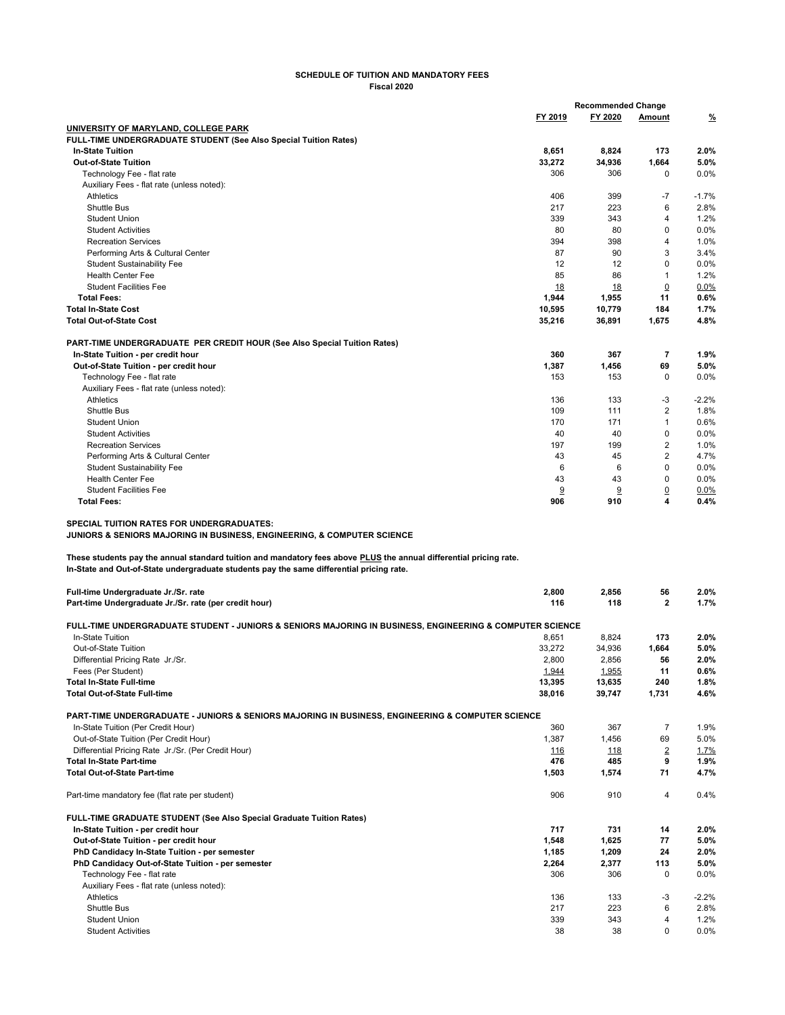## **SCHEDULE OF TUITION AND MANDATORY FEES Fiscal 2020**

|                                                                                                                                            | <b>Recommended Change</b> |         |                |          |
|--------------------------------------------------------------------------------------------------------------------------------------------|---------------------------|---------|----------------|----------|
|                                                                                                                                            | FY 2019                   | FY 2020 | Amount         | <u>%</u> |
| UNIVERSITY OF MARYLAND, COLLEGE PARK                                                                                                       |                           |         |                |          |
| <b>FULL-TIME UNDERGRADUATE STUDENT (See Also Special Tuition Rates)</b>                                                                    |                           |         |                |          |
| <b>In-State Tuition</b>                                                                                                                    | 8,651                     | 8,824   | 173            | 2.0%     |
| <b>Out-of-State Tuition</b>                                                                                                                | 33,272                    | 34,936  | 1,664          | 5.0%     |
| Technology Fee - flat rate                                                                                                                 | 306                       | 306     | $\Omega$       | 0.0%     |
| Auxiliary Fees - flat rate (unless noted):                                                                                                 |                           |         |                |          |
| Athletics                                                                                                                                  | 406                       | 399     | $-7$           | $-1.7%$  |
| Shuttle Bus                                                                                                                                | 217                       | 223     | 6              | 2.8%     |
| Student Union                                                                                                                              | 339                       | 343     | 4              | 1.2%     |
| <b>Student Activities</b>                                                                                                                  | 80                        | 80      | $\mathbf 0$    | 0.0%     |
| <b>Recreation Services</b>                                                                                                                 | 394                       | 398     | $\overline{4}$ | 1.0%     |
| Performing Arts & Cultural Center                                                                                                          | 87                        | 90      | 3              | 3.4%     |
| <b>Student Sustainability Fee</b>                                                                                                          | 12                        | 12      | $\Omega$       | 0.0%     |
| <b>Health Center Fee</b>                                                                                                                   | 85                        | 86      | $\mathbf{1}$   | 1.2%     |
| <b>Student Facilities Fee</b>                                                                                                              | 18                        | 18      | $\overline{0}$ | 0.0%     |
| <b>Total Fees:</b>                                                                                                                         | 1,944                     | 1,955   | 11             | 0.6%     |
| <b>Total In-State Cost</b>                                                                                                                 | 10,595                    | 10,779  | 184            | 1.7%     |
| <b>Total Out-of-State Cost</b>                                                                                                             | 35.216                    | 36,891  | 1,675          | 4.8%     |
|                                                                                                                                            |                           |         |                |          |
| <b>PART-TIME UNDERGRADUATE PER CREDIT HOUR (See Also Special Tuition Rates)</b>                                                            |                           |         |                |          |
| In-State Tuition - per credit hour                                                                                                         | 360                       | 367     | 7              | 1.9%     |
| Out-of-State Tuition - per credit hour                                                                                                     | 1,387                     | 1,456   | 69             | 5.0%     |
| Technology Fee - flat rate                                                                                                                 | 153                       | 153     | $\mathbf 0$    | 0.0%     |
| Auxiliary Fees - flat rate (unless noted):                                                                                                 |                           |         |                |          |
| Athletics                                                                                                                                  | 136                       | 133     | -3             | $-2.2%$  |
| Shuttle Bus                                                                                                                                | 109                       | 111     | $\overline{2}$ | 1.8%     |
| <b>Student Union</b>                                                                                                                       | 170                       | 171     | $\mathbf{1}$   | 0.6%     |
| <b>Student Activities</b>                                                                                                                  | 40                        | 40      | $\mathbf 0$    | 0.0%     |
| <b>Recreation Services</b>                                                                                                                 | 197                       | 199     | 2              | 1.0%     |
| Performing Arts & Cultural Center                                                                                                          | 43                        | 45      | $\overline{2}$ | 4.7%     |
| <b>Student Sustainability Fee</b>                                                                                                          | 6                         | 6       | $\Omega$       | 0.0%     |
| <b>Health Center Fee</b>                                                                                                                   | 43                        | 43      | $\mathbf 0$    | 0.0%     |
| <b>Student Facilities Fee</b>                                                                                                              | 9                         | 9       | $\overline{0}$ | 0.0%     |
| <b>Total Fees:</b>                                                                                                                         | 906                       | 910     | 4              | 0.4%     |
| <b>SPECIAL TUITION RATES FOR UNDERGRADUATES:</b><br><b>JUNIORS &amp; SENIORS MAJORING IN BUSINESS, ENGINEERING, &amp; COMPUTER SCIENCE</b> |                           |         |                |          |
| These students pay the annual standard tuition and mandatory fees above PLUS the annual differential pricing rate.                         |                           |         |                |          |
| In-State and Out-of-State undergraduate students pay the same differential pricing rate.                                                   |                           |         |                |          |
| Full-time Undergraduate Jr./Sr. rate                                                                                                       | 2,800                     | 2,856   | 56             | 2.0%     |
| Part-time Undergraduate Jr./Sr. rate (per credit hour)                                                                                     | 116                       | 118     | $\mathbf{2}$   | 1.7%     |
| FULL-TIME UNDERGRADUATE STUDENT - JUNIORS & SENIORS MAJORING IN BUSINESS, ENGINEERING & COMPUTER SCIENCE                                   |                           |         |                |          |
| In-State Tuition                                                                                                                           | 8,651                     | 8,824   | 173            | 2.0%     |
| Out-of-State Tuition                                                                                                                       | 33,272                    | 34,936  | 1,664          | 5.0%     |
|                                                                                                                                            |                           |         |                |          |

| Out-of-State Tuition                                                                             | 33,272 | 34,936     | 1,664          | 5.0%    |
|--------------------------------------------------------------------------------------------------|--------|------------|----------------|---------|
| Differential Pricing Rate Jr./Sr.                                                                | 2.800  | 2,856      | 56             | 2.0%    |
| Fees (Per Student)                                                                               | 1,944  | 1,955      | 11             | 0.6%    |
| <b>Total In-State Full-time</b>                                                                  | 13,395 | 13,635     | 240            | 1.8%    |
| <b>Total Out-of-State Full-time</b>                                                              | 38,016 | 39,747     | 1.731          | 4.6%    |
| PART-TIME UNDERGRADUATE - JUNIORS & SENIORS MAJORING IN BUSINESS, ENGINEERING & COMPUTER SCIENCE |        |            |                |         |
| In-State Tuition (Per Credit Hour)                                                               | 360    | 367        | 7              | 1.9%    |
| Out-of-State Tuition (Per Credit Hour)                                                           | 1.387  | 1,456      | 69             | 5.0%    |
| Differential Pricing Rate Jr./Sr. (Per Credit Hour)                                              | 116    | <u>118</u> | $\overline{2}$ | 1.7%    |
| <b>Total In-State Part-time</b>                                                                  | 476    | 485        | 9              | 1.9%    |
| <b>Total Out-of-State Part-time</b>                                                              | 1,503  | 1,574      | 71             | 4.7%    |
| Part-time mandatory fee (flat rate per student)                                                  | 906    | 910        | 4              | 0.4%    |
| FULL-TIME GRADUATE STUDENT (See Also Special Graduate Tuition Rates)                             |        |            |                |         |
| In-State Tuition - per credit hour                                                               | 717    | 731        | 14             | 2.0%    |
| Out-of-State Tuition - per credit hour                                                           | 1,548  | 1,625      | 77             | 5.0%    |
| PhD Candidacy In-State Tuition - per semester                                                    | 1,185  | 1,209      | 24             | 2.0%    |
| PhD Candidacy Out-of-State Tuition - per semester                                                | 2,264  | 2,377      | 113            | 5.0%    |
| Technology Fee - flat rate                                                                       | 306    | 306        | 0              | 0.0%    |
| Auxiliary Fees - flat rate (unless noted):                                                       |        |            |                |         |
| <b>Athletics</b>                                                                                 | 136    | 133        | $-3$           | $-2.2%$ |
| <b>Shuttle Bus</b>                                                                               | 217    | 223        | 6              | 2.8%    |
| <b>Student Union</b>                                                                             | 339    | 343        | 4              | 1.2%    |
| <b>Student Activities</b>                                                                        | 38     | 38         | $\Omega$       | 0.0%    |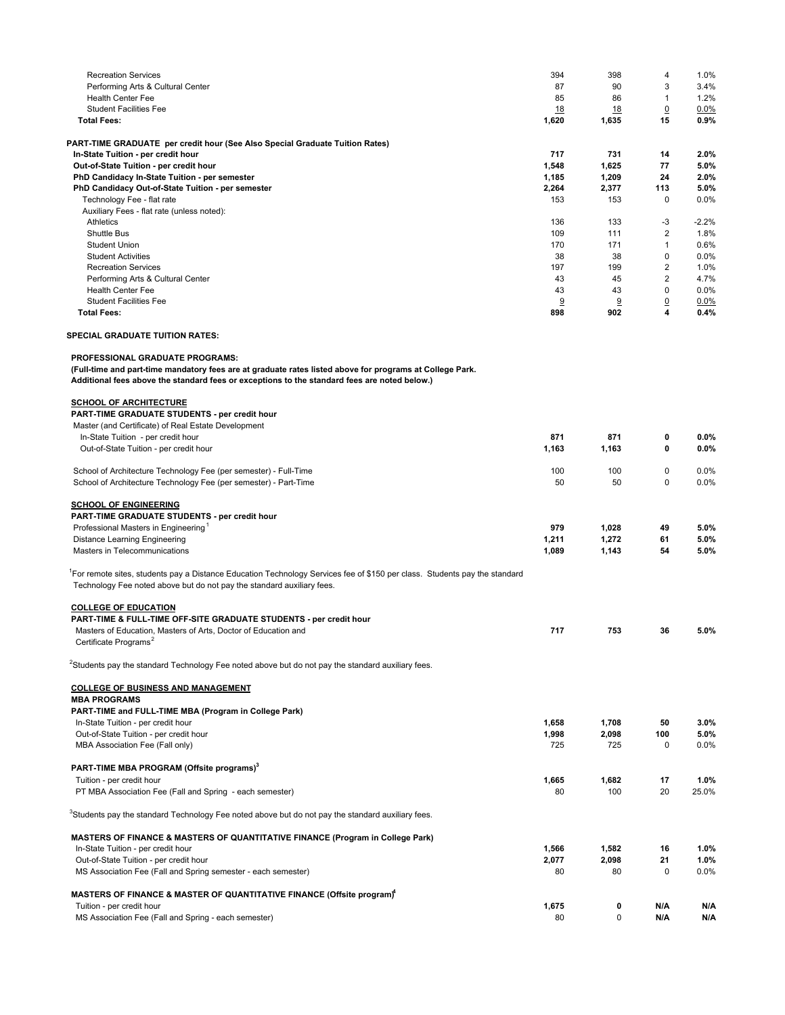| <b>Recreation Services</b>                                                                                                                                                                           | 394          | 398          | 4                             | 1.0%         |
|------------------------------------------------------------------------------------------------------------------------------------------------------------------------------------------------------|--------------|--------------|-------------------------------|--------------|
| Performing Arts & Cultural Center                                                                                                                                                                    | 87           | 90           | 3                             | 3.4%         |
| <b>Health Center Fee</b>                                                                                                                                                                             | 85           | 86           | $\mathbf{1}$                  | 1.2%         |
| <b>Student Facilities Fee</b>                                                                                                                                                                        | <u>18</u>    | <u>18</u>    | $\overline{0}$                | 0.0%         |
| <b>Total Fees:</b>                                                                                                                                                                                   | 1,620        | 1,635        | 15                            | 0.9%         |
| PART-TIME GRADUATE per credit hour (See Also Special Graduate Tuition Rates)                                                                                                                         |              |              |                               |              |
| In-State Tuition - per credit hour                                                                                                                                                                   | 717          | 731          | 14                            | 2.0%         |
| Out-of-State Tuition - per credit hour                                                                                                                                                               | 1,548        | 1,625        | 77                            | 5.0%         |
| PhD Candidacy In-State Tuition - per semester                                                                                                                                                        | 1,185        | 1,209        | 24                            | 2.0%         |
| PhD Candidacy Out-of-State Tuition - per semester                                                                                                                                                    | 2,264<br>153 | 2,377        | 113<br>0                      | 5.0%<br>0.0% |
| Technology Fee - flat rate<br>Auxiliary Fees - flat rate (unless noted):                                                                                                                             |              | 153          |                               |              |
| Athletics                                                                                                                                                                                            | 136          | 133          | -3                            | $-2.2%$      |
| <b>Shuttle Bus</b>                                                                                                                                                                                   | 109          | 111          | $\overline{\mathbf{c}}$       | 1.8%         |
| <b>Student Union</b>                                                                                                                                                                                 | 170          | 171          | $\mathbf{1}$                  | 0.6%         |
| <b>Student Activities</b>                                                                                                                                                                            | 38           | 38           | $\mathbf 0$                   | 0.0%         |
| <b>Recreation Services</b>                                                                                                                                                                           | 197          | 199          | $\overline{2}$                | 1.0%         |
| Performing Arts & Cultural Center                                                                                                                                                                    | 43           | 45           | $\overline{2}$<br>$\mathbf 0$ | 4.7%         |
| <b>Health Center Fee</b><br><b>Student Facilities Fee</b>                                                                                                                                            | 43<br>9      | 43<br>9      | $\overline{0}$                | 0.0%<br>0.0% |
| <b>Total Fees:</b>                                                                                                                                                                                   | 898          | 902          | 4                             | 0.4%         |
| <b>SPECIAL GRADUATE TUITION RATES:</b>                                                                                                                                                               |              |              |                               |              |
| PROFESSIONAL GRADUATE PROGRAMS:                                                                                                                                                                      |              |              |                               |              |
| (Full-time and part-time mandatory fees are at graduate rates listed above for programs at College Park.                                                                                             |              |              |                               |              |
| Additional fees above the standard fees or exceptions to the standard fees are noted below.)                                                                                                         |              |              |                               |              |
| <b>SCHOOL OF ARCHITECTURE</b>                                                                                                                                                                        |              |              |                               |              |
| PART-TIME GRADUATE STUDENTS - per credit hour                                                                                                                                                        |              |              |                               |              |
| Master (and Certificate) of Real Estate Development                                                                                                                                                  |              |              |                               |              |
| In-State Tuition - per credit hour                                                                                                                                                                   | 871          | 871          | 0                             | 0.0%         |
| Out-of-State Tuition - per credit hour                                                                                                                                                               | 1,163        | 1,163        | 0                             | 0.0%         |
| School of Architecture Technology Fee (per semester) - Full-Time                                                                                                                                     | 100          | 100          | $\mathbf 0$                   | 0.0%         |
| School of Architecture Technology Fee (per semester) - Part-Time                                                                                                                                     | 50           | 50           | $\mathbf 0$                   | 0.0%         |
| <b>SCHOOL OF ENGINEERING</b>                                                                                                                                                                         |              |              |                               |              |
| PART-TIME GRADUATE STUDENTS - per credit hour                                                                                                                                                        |              |              |                               |              |
| Professional Masters in Engineering <sup>1</sup>                                                                                                                                                     | 979          | 1,028        | 49                            | 5.0%         |
| <b>Distance Learning Engineering</b>                                                                                                                                                                 | 1,211        | 1,272        | 61                            | 5.0%         |
| Masters in Telecommunications                                                                                                                                                                        | 1,089        | 1,143        | 54                            | 5.0%         |
| 'For remote sites, students pay a Distance Education Technology Services fee of \$150 per class. Students pay the standard<br>Technology Fee noted above but do not pay the standard auxiliary fees. |              |              |                               |              |
| <b>COLLEGE OF EDUCATION</b>                                                                                                                                                                          |              |              |                               |              |
| <b>PART-TIME &amp; FULL-TIME OFF-SITE GRADUATE STUDENTS - per credit hour</b>                                                                                                                        |              |              |                               |              |
| Masters of Education, Masters of Arts, Doctor of Education and                                                                                                                                       | 717          | 753          | 36                            | 5.0%         |
| Certificate Programs <sup>2</sup>                                                                                                                                                                    |              |              |                               |              |
| <sup>2</sup> Students pay the standard Technology Fee noted above but do not pay the standard auxiliary fees.                                                                                        |              |              |                               |              |
| <b>COLLEGE OF BUSINESS AND MANAGEMENT</b>                                                                                                                                                            |              |              |                               |              |
| <b>MBA PROGRAMS</b>                                                                                                                                                                                  |              |              |                               |              |
| PART-TIME and FULL-TIME MBA (Program in College Park)                                                                                                                                                |              |              |                               |              |
| In-State Tuition - per credit hour                                                                                                                                                                   | 1,658        | 1,708        | 50                            | 3.0%         |
| Out-of-State Tuition - per credit hour<br>MBA Association Fee (Fall only)                                                                                                                            | 1,998<br>725 | 2,098<br>725 | 100<br>$\mathbf 0$            | 5.0%         |
|                                                                                                                                                                                                      |              |              |                               | 0.0%         |
| PART-TIME MBA PROGRAM (Offsite programs) <sup>3</sup>                                                                                                                                                |              |              |                               |              |
| Tuition - per credit hour                                                                                                                                                                            | 1,665        | 1,682        | 17                            | 1.0%         |
| PT MBA Association Fee (Fall and Spring - each semester)                                                                                                                                             | 80           | 100          | 20                            | 25.0%        |
| Students pay the standard Technology Fee noted above but do not pay the standard auxiliary fees.                                                                                                     |              |              |                               |              |
| MASTERS OF FINANCE & MASTERS OF QUANTITATIVE FINANCE (Program in College Park)                                                                                                                       |              |              |                               |              |
| In-State Tuition - per credit hour                                                                                                                                                                   | 1,566        | 1,582        | 16                            | 1.0%         |
| Out-of-State Tuition - per credit hour                                                                                                                                                               | 2,077        | 2,098        | 21                            | 1.0%         |
| MS Association Fee (Fall and Spring semester - each semester)                                                                                                                                        | 80           | 80           | $\mathbf 0$                   | 0.0%         |
| MASTERS OF FINANCE & MASTER OF QUANTITATIVE FINANCE (Offsite program)*                                                                                                                               |              |              |                               |              |
| Tuition - per credit hour                                                                                                                                                                            | 1,675        | 0            | N/A                           | N/A          |
| MS Association Fee (Fall and Spring - each semester)                                                                                                                                                 | 80           | 0            | N/A                           | N/A          |
|                                                                                                                                                                                                      |              |              |                               |              |